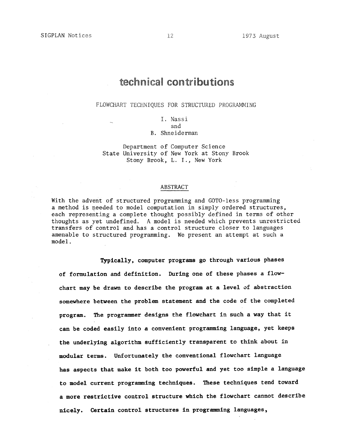## technical contributions

## FLOWCHART TECHNIOUES FOR STRUCTURED PROGRAMMING

I. Nassi and B. Shneiderman

Department of Computer Science State University of New York at Stony Brook Stony Brook, L. I., New York

## **ABSTRACT**

With the advent of structured programming and GOTO-less programming a method is needed to model computation in simply ordered structures, each representing a complete thought possibly defined in terms of other thoughts as yet undefined. A model is needed which prevents unrestricted transfers of control and has a control structure closer to languages amenable to structured programming. We present an attempt at such a model.

Typically, computer programs go through various phases

of formulation and definition. During one of these phases a flowchart may be drawn to describe the program at a level of abstraction somewhere between the problem statement and the code of the completed The programmer designs the flowchart in such a way that it program. can be coded easily into a convenient programming language, yet keeps the underlying algorithm sufficiently transparent to think about in modular terms. Unfortunately the conventional flowchart language has aspects that make it both too powerful and yet too simple a language to model current programming techniques. These techniques tend toward a more restrictive control structure which the flowchart cannot describe nicely. Certain control structures in programming languages,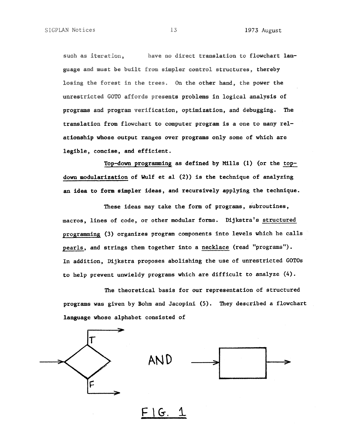have no direct translation to flowchart lansuch as iteration. guage and must be built from simpler control structures, thereby losing the forest in the trees. On the other hand, the power the unrestricted GOTO affords presents problems in logical analysis of programs and program verification, optimization, and debugging. The translation from flowchart to computer program is a one to many relationship whose output ranges over programs only some of which are legible, concise, and efficient.

Top-down programming as defined by Mills (1) (or the topdown modularization of Wulf et al (2)) is the technique of analyzing an idea to form simpler ideas, and recursively applying the technique.

These ideas may take the form of programs, subroutines, macros, lines of code, or other modular forms. Dijkstra's structured programming (3) organizes program components into levels which he calls pearls, and strings them together into a necklace (read "programs"). In addition, Dijkstra proposes abolishing the use of unrestricted GOTOs to help prevent unwieldy programs which are difficult to analyze  $(4)$ .

The theoretical basis for our representation of structured programs was given by Bohm and Jacopini (5). They described a flowchart language whose alphabet consisted of





13

 $FIG.1$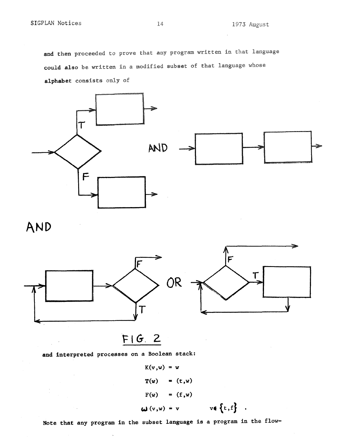and then proceeded to prove that any program written in that language could also be written in a modified subset of that language whose alphabet consists only of







 $F/G.2$ 

and interpreted processes on a Boolean stack:

÷,

 $K(v, w) = w$  $T(w) = (t,w)$  $F(w) = (f,w)$  $\omega(v,w) = v$   $v \in \{t, f\}$ .

Note that any program in the subset language is a program in the flow-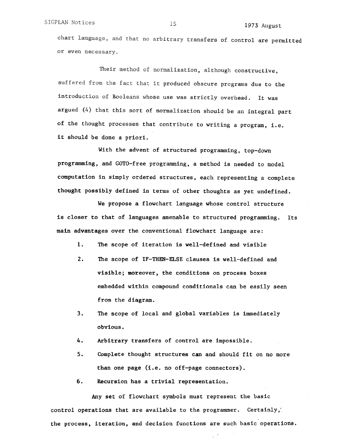chart language, and that no arbitrary transfers of control are permitted or even necessary.

Their method of normalization, although constructive, suffered from the fact that it produced obscure programs due to the introduction of Booleans whose use was strictly overhead. It was argued (4) that this sort of normalization should be an integral part of the thought processes that contribute to writing a program, i.e. it should be done a priori.

With the advent of structured programming, top-down programming, and GOTO-free programming, a method is needed to model computation in simply ordered structures, each representing a complete thought possibly defined in terms of other thoughts as yet undefined.

We propose a flowchart language whose control structure is closer to that of languages amenable to structured programming. Its main advantages over the conventional flowchart language are:

- 1. The scope of iteration is well-defined and visible
- $2.$ The scope of IF-THEN-ELSE clauses is well-defined and visible; moreover, the conditions on process boxes embedded within compound conditionals can be easily seen from the diagram.

 $3.$ The scope of local and global variables is immediately obvious.

- 4. Arbitrary transfers of control are impossible.
- 5. Complete thought structures can and should fit on no more than one page (i.e. no off-page connectors).
- $6.$ Recursion has a trivial representation.

Any set of flowchart symbols must represent the basic control operations that are available to the programmer. Certainly, the process, iteration, and decision functions are such basic operations.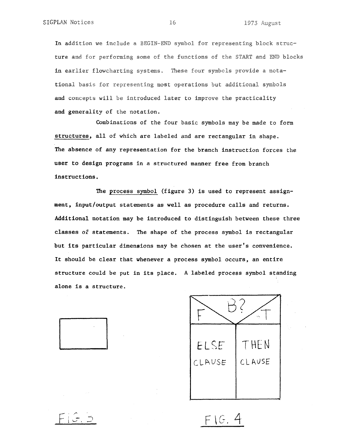In addition we include a BEGIN-END symbol for representing block structure and for performing some of the functions of the START and END blocks in earlier flowcharting systems. These four symbols provide a notational basis for representing most operations but additional symbols and concepts will be introduced later to improve the practicality and generality of the notation.

Combinations of the four basic symbols may be made to form structures, all of which are labeled and are rectangular in shape. The absence of any representation for the branch instruction forces the user to design programs in a structured manner free from branch instructions.

The process symbol (figure 3) is used to represent assignment, input/output statements as well as procedure calls and returns. Additional notation may be introduced to distinguish between these three classes of statements. The shape of the process symbol is rectangular but its particular dimensions may be chosen at the user's convenience. It should be clear that whenever a process symbol occurs, an entire structure could be put in its place. A labeled process symbol standing alone is a structure.





 $IG.$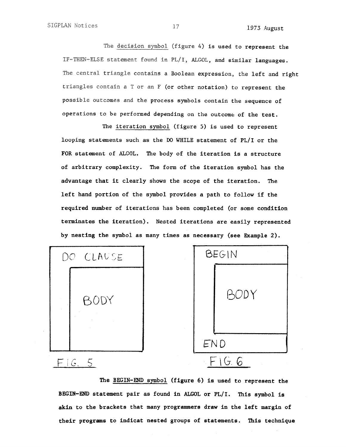The decision symbol (figure 4) is used to represent the IF-THEN-ELSE statement found in PL/I, ALGOL, and similar languages. The central triangle contains a Boolean expression, the left and right triangles contain a T or an F (or other notation) to represent the possible outcomes and the process symbols contain the sequence of operations to be performed depending on the outcome of the test.

The iteration symbol (figure 5) is used to represent looping statements such as the DO WHILE statement of PL/I or the FOR statement of ALGOL. The body of the iteration is a structure of arbitrary complexity. The form of the iteration symbol has the advantage that it clearly shows the scope of the iteration. The left hand portion of the symbol provides a path to follow if the required number of iterations has been completed (or some condition terminates the iteration). Nested iterations are easily represented by nesting the symbol as many times as necessary (see Example 2).

| DO CLAUSE |
|-----------|
|           |
| BODY      |
|           |
|           |

 $\vdash \bot G.$  5



The BEGIN-END symbol (figure 6) is used to represent the BEGIN-END statement pair as found in ALGOL or PL/I. This symbol is akin to the brackets that many programmers draw in the left margin of their programs to indicat nested groups of statements. This technique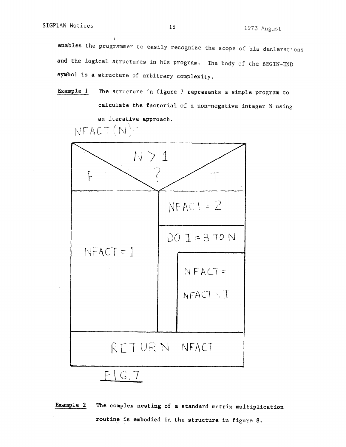enables the programmer to easily recognize the scope of his declarations and the logical structures in his program. The body of the BEGIN-END symbol is a structure of arbitrary complexity.

The structure in figure 7 represents a simple program to Example 1 calculate the factorial of a non-negative integer N using an iterative approach.



The complex nesting of a standard matrix multiplication Example 2 routine is embodied in the structure in figure 8.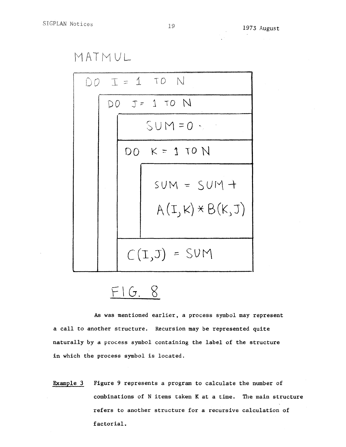MATMUL

$$
DOI = 1 TO N
$$
\n
$$
DOJ = 1 TO N
$$
\n
$$
SUM = O
$$
\n
$$
SUM = SUM +
$$
\n
$$
A(I,K) * B(K,J)
$$
\n
$$
C(I,J) = SUM
$$

$$
\underline{F1G.}8
$$

As was mentioned earlier, a process symbol may represent a call to another structure. Recursion may be represented quite naturally by a process symbol containing the label of the structure in which the process symbol is located.

Example 3 Figure 9 represents a program to calculate the number of combinations of N items taken K at a time. The main structure refers to another structure for a recursive calculation of factorial.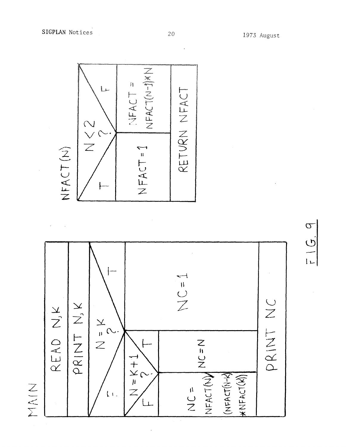



MAIN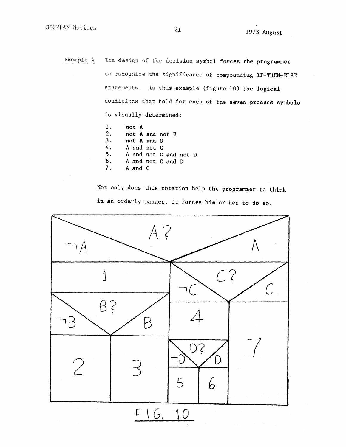Example 4 The design of the decision symbol forces the programmer to recognize the significance of compounding IF-THEN-ELSE statements. In this example (figure 10) the logical conditions that hold for each of the seven process symbols is visually determined:

| 1. | not A                 |
|----|-----------------------|
| 2. | not A and not B       |
| 3. | not A and B           |
| 4. | A and not C           |
| 5. | A and not C and not D |
| б. | A and not C and D     |
| 7. | A and C               |

Not only does this notation help the programmer to think in an orderly manner, it forces him or her to do so.

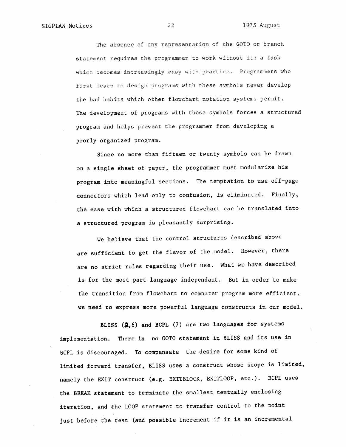The absence of any representation of the GOTO or branch statement requires the programmer to work without it: a task which becomes increasingly easy with practice. Programmers who first learn to design programs with these symbols never develop the bad habits which other flowchart notation systems permit. The development of programs with these symbols forces a structured program and helps prevent the programmer from developing a poorly organized program.

Since no more than fifteen or twenty symbols can be drawn on a single sheet of paper, the programmer must modularize his program into meaningful sections. The temptation to use off-page connectors which lead only to confusion, is eliminated. Finally, the ease with which a structured flowchart can be translated into a structured program is pleasantly surprising.

We believe that the control structures described above are sufficient to get the flavor of the model. However, there are no strict rules regarding their use. What we have described is for the most part language independant. But in order to make the transition from flowchart to computer program more efficient. we need to express more powerful language constructs in our model.

BLISS (2,6) and BCPL (7) are two languages for systems implementation. There is no GOTO statement in BLISS and its use in BCPL is discouraged. To compensate the desire for some kind of limited forward transfer, BLISS uses a construct whose scope is limited, namely the EXIT construct (e.g. EXITBLOCK, EXITLOOP, etc.). BCPL uses the BREAK statement to terminate the smallest textually enclosing iteration, and the LOOP statement to transfer control to the point just before the test (and possible increment if it is an incremental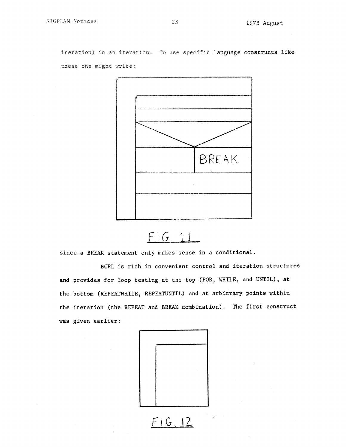iteration) in an iteration. To use specific language constructs like these one might write:



since a BREAK statement only makes sense in a conditional.

BCPL is rich in convenient control and iteration structures and provides for loop testing at the top (FOR, WHILE, and UNTIL), at the bottom (REPEATWHILE, REPEATUNTIL) and at arbitrary points within the iteration (the REPEAT and BREAK combination). The first construct was given earlier:



 $F(G, 12)$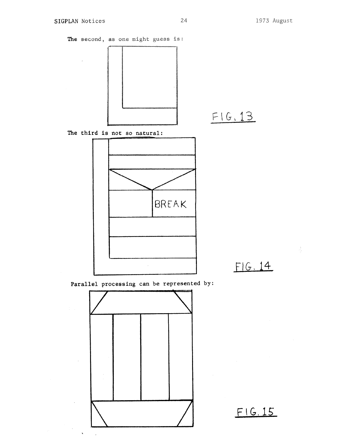24

 $\frac{1}{\sqrt{2}}$ 

The second, as one might guess is:







 $\hat{\boldsymbol{\gamma}}$  $\hat{\mathbf{v}}$ 

 $FIG.15$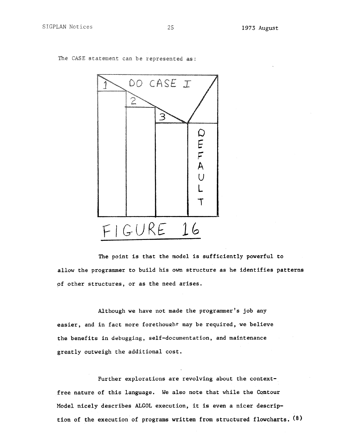

The CASE statement can be represented as:

The point is that the model is sufficiently powerful to allow the programmer to build his own structure as he identifies patterns of other structures, or as the need arises.

Although we have not made the programmer's job any easier, and in fact more forethought may be required, we believe the benefits in debugging, self-documentation, and maintenance greatly outweigh the additional cost.

Further explorations are revolving about the contextfree nature of this language. We also note that while the Contour Model nicely describes ALGOL execution, it is even a nicer description of the execution of programs written from structured flowcharts. (8)